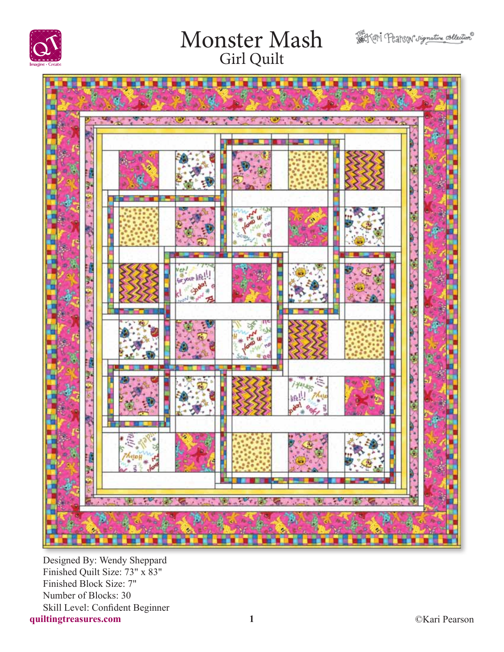





**quiltingtreasures.com 1** Designed By: Wendy Sheppard Finished Quilt Size: 73" x 83" Finished Block Size: 7" Number of Blocks: 30 Skill Level: Confident Beginner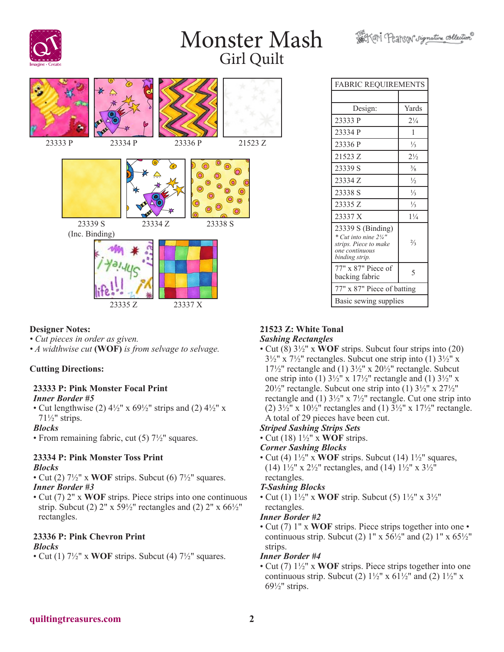Softer Pearson signature collection





#### **Designer Notes:**

- *Cut pieces in order as given.*
- *A widthwise cut* **(WOF)** *is from selvage to selvage.*

#### **Cutting Directions:**

#### **23333 P: Pink Monster Focal Print** *Inner Border #5*

• Cut lengthwise (2)  $4\frac{1}{2}$ " x  $69\frac{1}{2}$ " strips and (2)  $4\frac{1}{2}$ " x 71½" strips.

#### *Blocks*

• From remaining fabric, cut (5)  $7\frac{1}{2}$ " squares.

#### **23334 P: Pink Monster Toss Print** *Blocks*

- Cut (2) 7½" x **WOF** strips. Subcut (6) 7½" squares. *Inner Border #3*
- Cut (7) 2" x **WOF** strips. Piece strips into one continuous strip. Subcut (2)  $2''$  x  $59\frac{1}{2}$ " rectangles and (2)  $2''$  x  $66\frac{1}{2}$ " rectangles.

### **23336 P: Pink Chevron Print**

#### *Blocks*

• Cut (1) 7½" x **WOF** strips. Subcut (4) 7½" squares.

| <b>FABRIC REQUIREMENTS</b>                                                                              |                |  |
|---------------------------------------------------------------------------------------------------------|----------------|--|
|                                                                                                         |                |  |
| Design:                                                                                                 | Yards          |  |
| 23333 P                                                                                                 | $2\frac{1}{4}$ |  |
| 23334 P                                                                                                 | 1              |  |
| 23336 P                                                                                                 | $\frac{1}{3}$  |  |
| 21523 Z                                                                                                 | $2\frac{1}{2}$ |  |
| 23339 S                                                                                                 | $\frac{3}{8}$  |  |
| 23334 Z                                                                                                 | $\frac{1}{2}$  |  |
| 23338 S                                                                                                 | $\frac{1}{3}$  |  |
| 23335 Z                                                                                                 | $\frac{1}{3}$  |  |
| 23337 X                                                                                                 | $1\frac{1}{4}$ |  |
| 23339 S (Binding)<br>* Cut into nine 21/4"<br>strips. Piece to make<br>one continuous<br>binding strip. | $\frac{2}{3}$  |  |
| 77" x 87" Piece of<br>backing fabric                                                                    | 5              |  |
| 77" x 87" Piece of batting                                                                              |                |  |
| Basic sewing supplies                                                                                   |                |  |

#### **21523 Z: White Tonal** *Sashing Rectangles*

• Cut (8) 3½" x **WOF** strips. Subcut four strips into (20)  $3\frac{1}{2}$ " x  $7\frac{1}{2}$ " rectangles. Subcut one strip into (1)  $3\frac{1}{2}$ " x 17 $\frac{17}{2}$ " rectangle and (1)  $3\frac{1}{2}$ " x 20 $\frac{1}{2}$ " rectangle. Subcut one strip into (1)  $3\frac{1}{2}$ " x  $17\frac{1}{2}$ " rectangle and (1)  $3\frac{1}{2}$ " x  $20\frac{1}{2}$ " rectangle. Subcut one strip into (1)  $3\frac{1}{2}$ " x  $27\frac{1}{2}$ " rectangle and (1) 3½" x 7½" rectangle. Cut one strip into (2)  $3\frac{1}{2}$ " x  $10\frac{1}{2}$ " rectangles and (1)  $3\frac{1}{2}$ " x  $17\frac{1}{2}$ " rectangle. A total of 29 pieces have been cut.

#### *Striped Sashing Strips Sets*

• Cut (18) 1½" x **WOF** strips.

#### *Corner Sashing Blocks*

• Cut (4) 1½" x **WOF** strips. Subcut (14) 1½" squares, (14)  $1\frac{1}{2}$ " x  $2\frac{1}{2}$ " rectangles, and (14)  $1\frac{1}{2}$ " x  $3\frac{1}{2}$ " rectangles.

#### *T-Sashing Blocks*

• Cut (1) 1½" x **WOF** strip. Subcut (5) 1½" x 3½" rectangles.

#### *Inner Border #2*

• Cut (7) 1" x **WOF** strips. Piece strips together into one • continuous strip. Subcut (2)  $1'' \times 56\frac{1}{2}''$  and (2)  $1'' \times 65\frac{1}{2}''$ strips.

#### *Inner Border #4*

• Cut (7) 1½" x **WOF** strips. Piece strips together into one continuous strip. Subcut (2)  $1\frac{1}{2}$ " x  $61\frac{1}{2}$ " and (2)  $1\frac{1}{2}$ " x 69½" strips.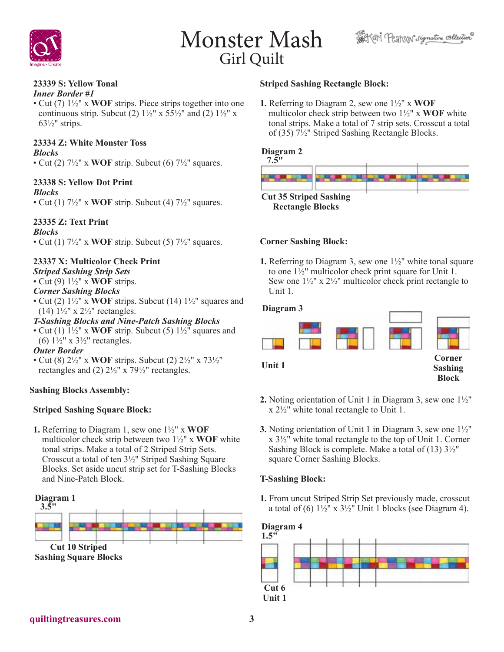



## **23339 S: Yellow Tonal**

*Inner Border #1*

• Cut (7) 1½" x **WOF** strips. Piece strips together into one continuous strip. Subcut (2)  $1\frac{1}{2}$ " x  $5\frac{5}{2}$ " and (2)  $1\frac{1}{2}$ " x  $63\frac{1}{2}$ " strips.

### **23334 Z: White Monster Toss**

*Blocks*

• Cut (2) 7½" x **WOF** strip. Subcut (6) 7½" squares.

#### **23338 S: Yellow Dot Print**

#### *Blocks*

• Cut (1) 7½" x **WOF** strip. Subcut (4) 7½" squares.

#### **23335 Z: Text Print**

*Blocks*

• Cut (1)  $7\frac{1}{2}$ " x **WOF** strip. Subcut (5)  $7\frac{1}{2}$ " squares.

#### **23337 X: Multicolor Check Print**

- *Striped Sashing Strip Sets*
- Cut (9) 1½" x **WOF** strips.

#### *Corner Sashing Blocks*

• Cut (2) 1½" x **WOF** strips. Subcut (14) 1½" squares and (14)  $1\frac{1}{2}$ " x  $2\frac{1}{2}$ " rectangles.

#### *T-Sashing Blocks and Nine-Patch Sashing Blocks*

• Cut (1) 1½" x **WOF** strip. Subcut (5) 1½" squares and (6)  $1\frac{1}{2}$ " x  $3\frac{1}{2}$ " rectangles.

#### *Outer Border*

• Cut (8) 2½" x **WOF** strips. Subcut (2) 2½" x 73½" rectangles and (2) 2½" x 79½" rectangles.

#### **Sashing Blocks Assembly:**

#### **Striped Sashing Square Block:**

**1.** Referring to Diagram 1, sew one 1½" x **WOF** multicolor check strip between two 1½" x **WOF** white tonal strips. Make a total of 2 Striped Strip Sets. Crosscut a total of ten 3½" Striped Sashing Square Blocks. Set aside uncut strip set for T-Sashing Blocks and Nine-Patch Block.



#### **Striped Sashing Rectangle Block:**

**1.** Referring to Diagram 2, sew one 1½" x **WOF** multicolor check strip between two 1½" x **WOF** white tonal strips. Make a total of 7 strip sets. Crosscut a total of (35) 7½" Striped Sashing Rectangle Blocks.

#### **Diagram 2**



#### **Corner Sashing Block:**

**1.** Referring to Diagram 3, sew one 1½" white tonal square to one 1½" multicolor check print square for Unit 1. Sew one  $1\frac{1}{2}$ " x  $2\frac{1}{2}$ " multicolor check print rectangle to Unit 1.

#### **Diagram 3**



- **2.** Noting orientation of Unit 1 in Diagram 3, sew one 1½" x 2½" white tonal rectangle to Unit 1.
- **3.** Noting orientation of Unit 1 in Diagram 3, sew one 1½"  $x 3\frac{1}{2}$  white tonal rectangle to the top of Unit 1. Corner Sashing Block is complete. Make a total of  $(13)$   $3\frac{1}{2}$ " square Corner Sashing Blocks.

#### **T-Sashing Block:**

**1.** From uncut Striped Strip Set previously made, crosscut a total of (6)  $1\frac{1}{2}$ " x  $3\frac{1}{2}$ " Unit 1 blocks (see Diagram 4).

#### **Diagram 4**

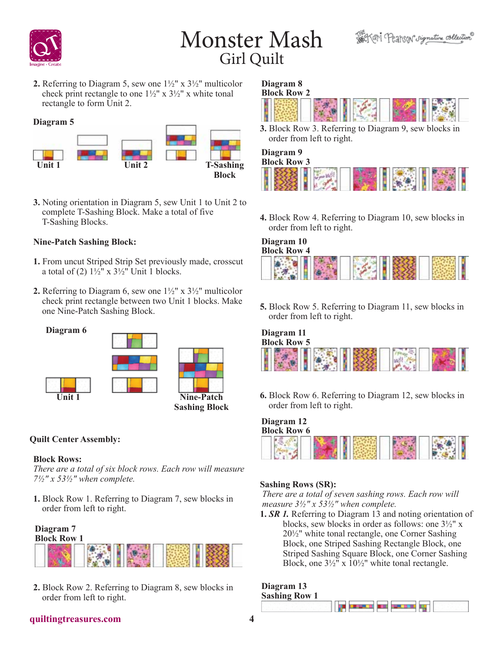

**2.** Referring to Diagram 5, sew one 1½" x 3½" multicolor check print rectangle to one  $1\frac{1}{2}$ " x  $3\frac{1}{2}$ " x white tonal rectangle to form Unit 2.

**Diagram 5**



**3.** Noting orientation in Diagram 5, sew Unit 1 to Unit 2 to complete T-Sashing Block. Make a total of five T-Sashing Blocks.

#### **Nine-Patch Sashing Block:**

- **1.** From uncut Striped Strip Set previously made, crosscut a total of (2)  $1\frac{1}{2}$ " x  $3\frac{1}{2}$ " Unit 1 blocks.
- **2.** Referring to Diagram 6, sew one 1½" x 3½" multicolor check print rectangle between two Unit 1 blocks. Make one Nine-Patch Sashing Block.



### **Quilt Center Assembly:**

#### **Block Rows:**

*There are a total of six block rows. Each row will measure 7½" x 53½" when complete.*

**1.** Block Row 1. Referring to Diagram 7, sew blocks in order from left to right.

### **Diagram 7**



**2.** Block Row 2. Referring to Diagram 8, sew blocks in order from left to right.

#### **Diagram 8 Block Row 2**



**3.** Block Row 3. Referring to Diagram 9, sew blocks in order from left to right.

## **Diagram 9**



**4.** Block Row 4. Referring to Diagram 10, sew blocks in order from left to right.

#### **Diagram 10 Block Row 4**



**5.** Block Row 5. Referring to Diagram 11, sew blocks in order from left to right.

# **Diagram 11 Block Row 5**

**6.** Block Row 6. Referring to Diagram 12, sew blocks in order from left to right.

| Diagram 12<br><b>Block Row 6</b> |  |  |  |  |
|----------------------------------|--|--|--|--|
|                                  |  |  |  |  |

### **Sashing Rows (SR):**

*There are a total of seven sashing rows. Each row will measure 3½" x 53½" when complete.*

**1.** *SR 1.* Referring to Diagram 13 and noting orientation of blocks, sew blocks in order as follows: one 3½" x 20½" white tonal rectangle, one Corner Sashing Block, one Striped Sashing Rectangle Block, one Striped Sashing Square Block, one Corner Sashing Block, one  $3\frac{1}{2}$ " x  $10\frac{1}{2}$ " white tonal rectangle.

## **Diagram 13**



#### **quiltingtreasures.com 4**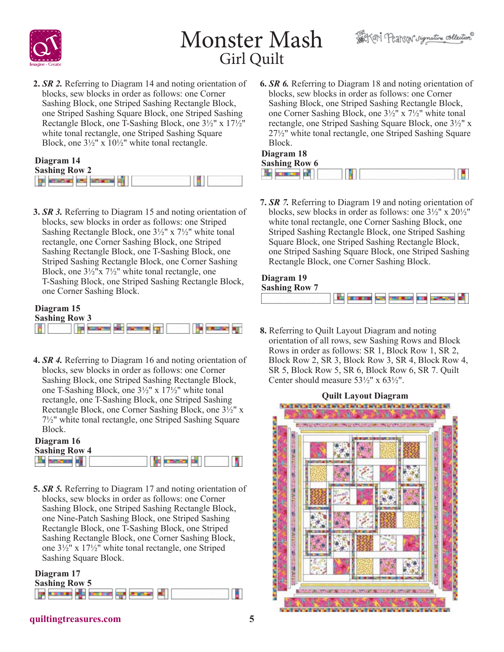



**2.** *SR 2.* Referring to Diagram 14 and noting orientation of blocks, sew blocks in order as follows: one Corner Sashing Block, one Striped Sashing Rectangle Block, one Striped Sashing Square Block, one Striped Sashing Rectangle Block, one T-Sashing Block, one 3½" x 17½" white tonal rectangle, one Striped Sashing Square Block, one 3½" x 10½" white tonal rectangle.

| Diagram 14           |  |  |  |
|----------------------|--|--|--|
| <b>Sashing Row 2</b> |  |  |  |
|                      |  |  |  |

**3.** *SR 3.* Referring to Diagram 15 and noting orientation of blocks, sew blocks in order as follows: one Striped Sashing Rectangle Block, one 3½" x 7½" white tonal rectangle, one Corner Sashing Block, one Striped Sashing Rectangle Block, one T-Sashing Block, one Striped Sashing Rectangle Block, one Corner Sashing Block, one  $3\frac{1}{2}x$   $7\frac{1}{2}x$  white tonal rectangle, one T-Sashing Block, one Striped Sashing Rectangle Block, one Corner Sashing Block.

# **Diagram 15 Sashing Row 3**

**4.** *SR 4.* Referring to Diagram 16 and noting orientation of blocks, sew blocks in order as follows: one Corner Sashing Block, one Striped Sashing Rectangle Block, one T-Sashing Block, one 3½" x 17½" white tonal rectangle, one T-Sashing Block, one Striped Sashing Rectangle Block, one Corner Sashing Block, one 3½" x 7½" white tonal rectangle, one Striped Sashing Square Block.

| Diagram 16           |  |  |
|----------------------|--|--|
| <b>Sashing Row 4</b> |  |  |
|                      |  |  |

**5.** *SR 5.* Referring to Diagram 17 and noting orientation of blocks, sew blocks in order as follows: one Corner Sashing Block, one Striped Sashing Rectangle Block, one Nine-Patch Sashing Block, one Striped Sashing Rectangle Block, one T-Sashing Block, one Striped Sashing Rectangle Block, one Corner Sashing Block, one 3½" x 17½" white tonal rectangle, one Striped Sashing Square Block.

#### **Diagram 17 Sashing Row 5** ana di manaz 8

**6.** *SR 6.* Referring to Diagram 18 and noting orientation of blocks, sew blocks in order as follows: one Corner Sashing Block, one Striped Sashing Rectangle Block, one Corner Sashing Block, one 3½" x 7½" white tonal rectangle, one Striped Sashing Square Block, one 3½" x 27½" white tonal rectangle, one Striped Sashing Square Block.

| Diagram 18           |  |
|----------------------|--|
| <b>Sashing Row 6</b> |  |
|                      |  |

**7.** *SR 7.* Referring to Diagram 19 and noting orientation of blocks, sew blocks in order as follows: one 3½" x 20½" white tonal rectangle, one Corner Sashing Block, one Striped Sashing Rectangle Block, one Striped Sashing Square Block, one Striped Sashing Rectangle Block, one Striped Sashing Square Block, one Striped Sashing Rectangle Block, one Corner Sashing Block.

### **Diagram 19 Sashing Row 7**



**8.** Referring to Quilt Layout Diagram and noting orientation of all rows, sew Sashing Rows and Block Rows in order as follows: SR 1, Block Row 1, SR 2, Block Row 2, SR 3, Block Row 3, SR 4, Block Row 4, SR 5, Block Row 5, SR 6, Block Row 6, SR 7. Quilt Center should measure  $53\frac{1}{2}$ " x  $63\frac{1}{2}$ ".



### **quiltingtreasures.com 5**